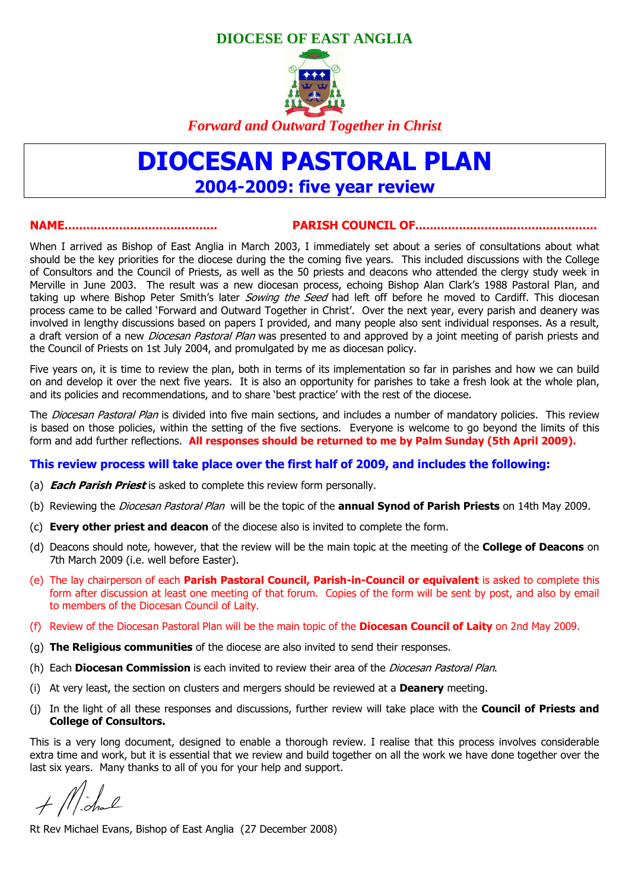# **DIOCESE OF EAST ANGLIA**



*Forward and Outward Together in Christ* 

# DIOCESAN PASTORAL PLAN 2004-2009: five year review

#### NAME.......................................... PARISH COUNCIL OF..................................................

When I arrived as Bishop of East Anglia in March 2003, I immediately set about a series of consultations about what should be the key priorities for the diocese during the the coming five years. This included discussions with the College of Consultors and the Council of Priests, as well as the 50 priests and deacons who attended the clergy study week in Merville in June 2003. The result was a new diocesan process, echoing Bishop Alan Clark's 1988 Pastoral Plan, and taking up where Bishop Peter Smith's later *Sowing the Seed* had left off before he moved to Cardiff. This diocesan process came to be called 'Forward and Outward Together in Christ'. Over the next year, every parish and deanery was involved in lengthy discussions based on papers I provided, and many people also sent individual responses. As a result, a draft version of a new *Diocesan Pastoral Plan* was presented to and approved by a joint meeting of parish priests and the Council of Priests on 1st July 2004, and promulgated by me as diocesan policy.

Five years on, it is time to review the plan, both in terms of its implementation so far in parishes and how we can build on and develop it over the next five years. It is also an opportunity for parishes to take a fresh look at the whole plan, and its policies and recommendations, and to share 'best practice' with the rest of the diocese.

The *Diocesan Pastoral Plan* is divided into five main sections, and includes a number of mandatory policies. This review is based on those policies, within the setting of the five sections. Everyone is welcome to go beyond the limits of this form and add further reflections. All responses should be returned to me by Palm Sunday (5th April 2009).

#### This review process will take place over the first half of 2009, and includes the following:

- (a) **Each Parish Priest** is asked to complete this review form personally.
- (b) Reviewing the *Diocesan Pastoral Plan* will be the topic of the **annual Synod of Parish Priests** on 14th May 2009.
- (c) Every other priest and deacon of the diocese also is invited to complete the form.
- (d) Deacons should note, however, that the review will be the main topic at the meeting of the **College of Deacons** on 7th March 2009 (i.e. well before Easter).
- (e) The lay chairperson of each **Parish Pastoral Council, Parish-in-Council or equivalent** is asked to complete this form after discussion at least one meeting of that forum. Copies of the form will be sent by post, and also by email to members of the Diocesan Council of Laity.
- (f) Review of the Diocesan Pastoral Plan will be the main topic of the **Diocesan Council of Laity** on 2nd May 2009.
- (g) The Religious communities of the diocese are also invited to send their responses.
- (h) Each **Diocesan Commission** is each invited to review their area of the *Diocesan Pastoral Plan.*
- (i) At very least, the section on clusters and mergers should be reviewed at a **Deanery** meeting.
- (j) In the light of all these responses and discussions, further review will take place with the **Council of Priests and** College of Consultors.

This is a very long document, designed to enable a thorough review. I realise that this process involves considerable extra time and work, but it is essential that we review and build together on all the work we have done together over the last six years. Many thanks to all of you for your help and support.

 $+$  Michael

Rt Rev Michael Evans, Bishop of East Anglia (27 December 2008)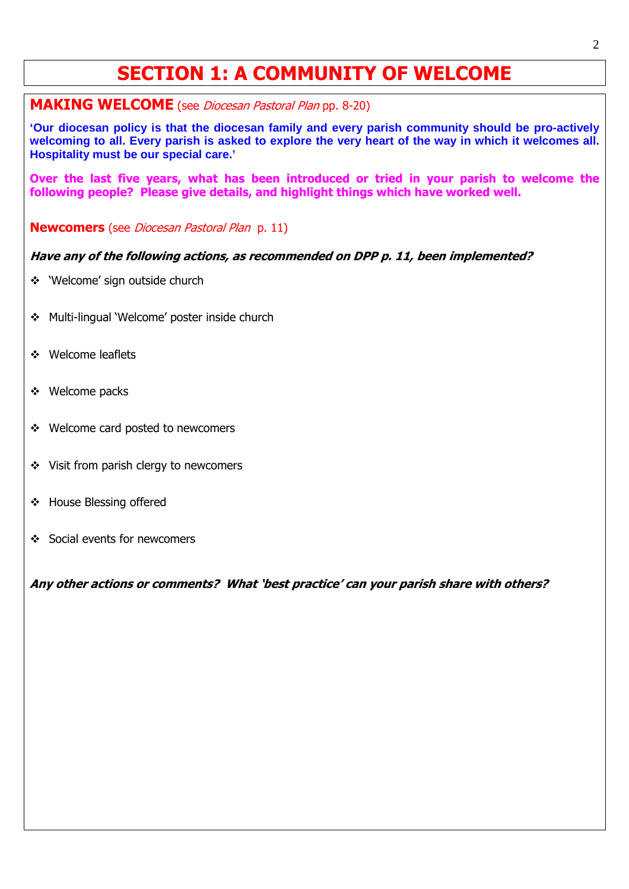# SECTION 1: A COMMUNITY OF WELCOME

**MAKING WELCOME** (see *Diocesan Pastoral Plan* pp. 8-20)

**'Our diocesan policy is that the diocesan family and every parish community should be pro-actively welcoming to all. Every parish is asked to explore the very heart of the way in which it welcomes all. Hospitality must be our special care.'** 

Over the last five years, what has been introduced or tried in your parish to welcome the following people? Please give details, and highlight things which have worked well.

**Newcomers** (see *Diocesan Pastoral Plan p. 11*)

### Have any of the following actions, as recommended on DPP p. 11, been implemented?

- 'Welcome' sign outside church
- Multi-lingual 'Welcome' poster inside church
- ❖ Welcome leaflets

֧֞֝֬֝֬֝֬֝֬֝֬֝֬

- ❖ Welcome packs
- Welcome card posted to newcomers
- Visit from parish clergy to newcomers
- House Blessing offered
- Social events for newcomers

Any other actions or comments? What 'best practice' can your parish share with others?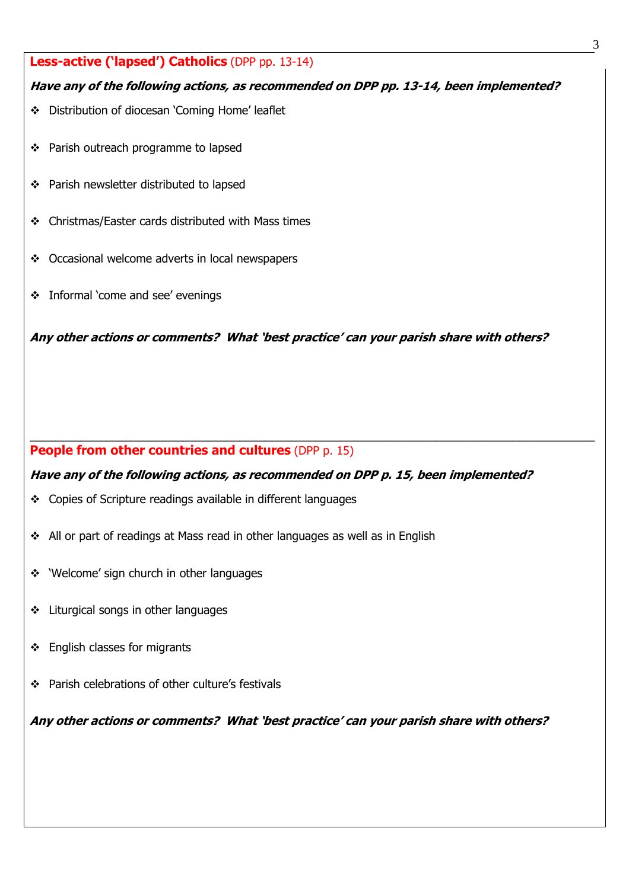# Less-active ('lapsed') Catholics (DPP pp. 13-14)

# Have any of the following actions, as recommended on DPP pp. 13-14, been implemented?

- Distribution of diocesan 'Coming Home' leaflet
- Parish outreach programme to lapsed
- Parish newsletter distributed to lapsed
- Christmas/Easter cards distributed with Mass times
- Occasional welcome adverts in local newspapers
- Informal 'come and see' evenings

Any other actions or comments? What 'best practice' can your parish share with others?

#### People from other countries and cultures (DPP p. 15)

# Have any of the following actions, as recommended on DPP p. 15, been implemented?

\_\_\_\_\_\_\_\_\_\_\_\_\_\_\_\_\_\_\_\_\_\_\_\_\_\_\_\_\_\_\_\_\_\_\_\_\_\_\_\_\_\_\_\_\_\_\_\_\_\_\_\_\_\_\_\_\_\_\_\_\_\_\_\_\_\_\_\_\_\_\_\_\_\_\_\_\_\_\_\_\_\_\_\_\_\_\_\_\_

- Copies of Scripture readings available in different languages
- All or part of readings at Mass read in other languages as well as in English
- \* 'Welcome' sign church in other languages
- ❖ Liturgical songs in other languages
- $\div$  English classes for migrants
- Parish celebrations of other culture's festivals

Any other actions or comments? What 'best practice' can your parish share with others?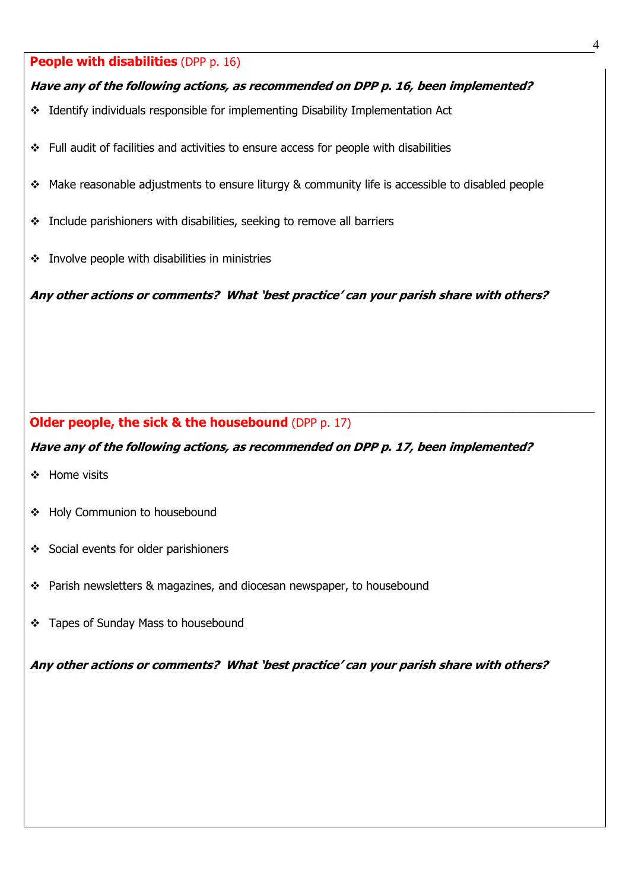# **People with disabilities (DPP p. 16)**

### Have any of the following actions, as recommended on DPP p. 16, been implemented?

- Identify individuals responsible for implementing Disability Implementation Act
- Full audit of facilities and activities to ensure access for people with disabilities
- \* Make reasonable adjustments to ensure liturgy & community life is accessible to disabled people
- \* Include parishioners with disabilities, seeking to remove all barriers
- $\cdot$  Involve people with disabilities in ministries

Any other actions or comments? What 'best practice' can your parish share with others?

# Older people, the sick & the housebound (DPP p. 17)

### Have any of the following actions, as recommended on DPP p. 17, been implemented?

\_\_\_\_\_\_\_\_\_\_\_\_\_\_\_\_\_\_\_\_\_\_\_\_\_\_\_\_\_\_\_\_\_\_\_\_\_\_\_\_\_\_\_\_\_\_\_\_\_\_\_\_\_\_\_\_\_\_\_\_\_\_\_\_\_\_\_\_\_\_\_\_\_\_\_\_\_\_\_\_\_\_\_\_\_\_\_\_\_

- ❖ Home visits
- Holy Communion to housebound
- Social events for older parishioners
- \* Parish newsletters & magazines, and diocesan newspaper, to housebound
- Tapes of Sunday Mass to housebound

Any other actions or comments? What 'best practice' can your parish share with others?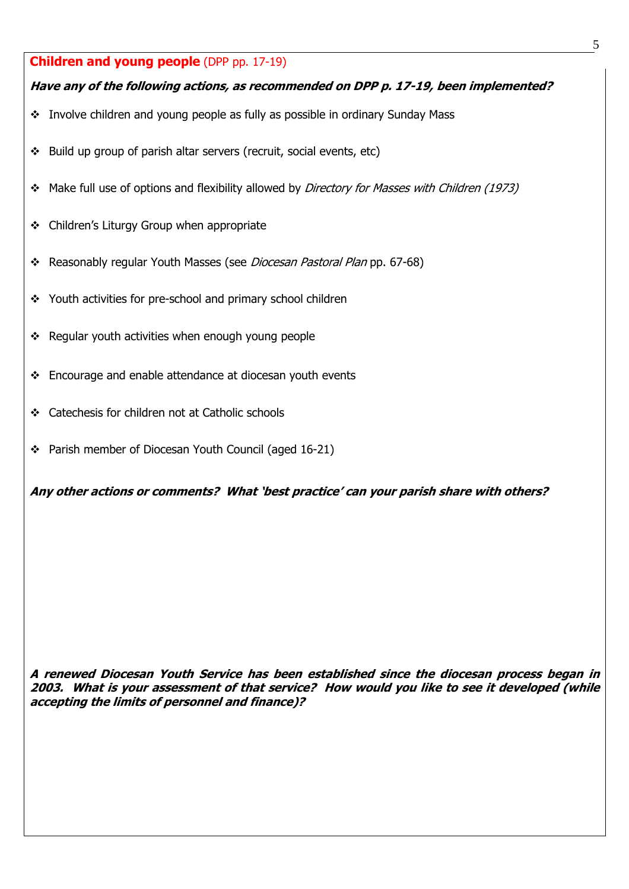# **Children and young people (DPP pp. 17-19)**

# Have any of the following actions, as recommended on DPP p. 17-19, been implemented?

- \* Involve children and young people as fully as possible in ordinary Sunday Mass
- $\div$  Build up group of parish altar servers (recruit, social events, etc)
- Make full use of options and flexibility allowed by *Directory for Masses with Children (1973)*
- ❖ Children's Liturgy Group when appropriate
- \* Reasonably regular Youth Masses (see *Diocesan Pastoral Plan* pp. 67-68)
- \* Youth activities for pre-school and primary school children
- $\div$  Regular youth activities when enough young people
- Encourage and enable attendance at diocesan youth events
- Catechesis for children not at Catholic schools
- \* Parish member of Diocesan Youth Council (aged 16-21)

Any other actions or comments? What 'best practice' can your parish share with others?

A renewed Diocesan Youth Service has been established since the diocesan process began in 2003. What is your assessment of that service? How would you like to see it developed (while accepting the limits of personnel and finance)?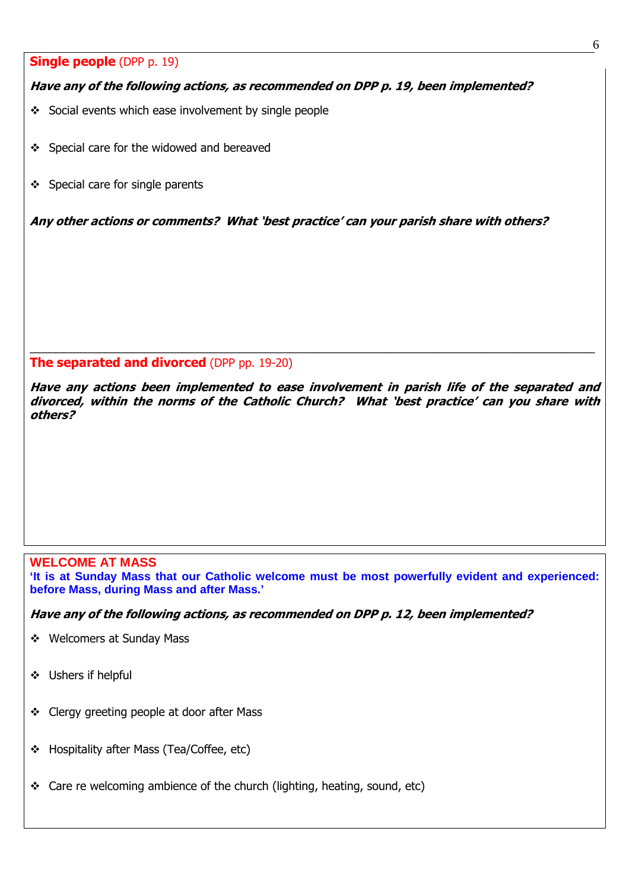#### **Single people** (DPP p. 19)

### Have any of the following actions, as recommended on DPP p. 19, been implemented?

- ❖ Social events which ease involvement by single people
- ❖ Special care for the widowed and bereaved
- ❖ Special care for single parents

Any other actions or comments? What 'best practice' can your parish share with others?

#### The separated and divorced (DPP pp. 19-20)

Have any actions been implemented to ease involvement in parish life of the separated and divorced, within the norms of the Catholic Church? What 'best practice' can you share with others?

\_\_\_\_\_\_\_\_\_\_\_\_\_\_\_\_\_\_\_\_\_\_\_\_\_\_\_\_\_\_\_\_\_\_\_\_\_\_\_\_\_\_\_\_\_\_\_\_\_\_\_\_\_\_\_\_\_\_\_\_\_\_\_\_\_\_\_\_\_\_\_\_\_\_\_\_\_\_\_\_\_\_\_\_\_\_\_\_\_

#### **WELCOME AT MASS**

**'It is at Sunday Mass that our Catholic welcome must be most powerfully evident and experienced: before Mass, during Mass and after Mass.'** 

Have any of the following actions, as recommended on DPP p. 12, been implemented?

- Welcomers at Sunday Mass
- Ushers if helpful
- \* Clergy greeting people at door after Mass
- \* Hospitality after Mass (Tea/Coffee, etc)
- $\div$  Care re welcoming ambience of the church (lighting, heating, sound, etc)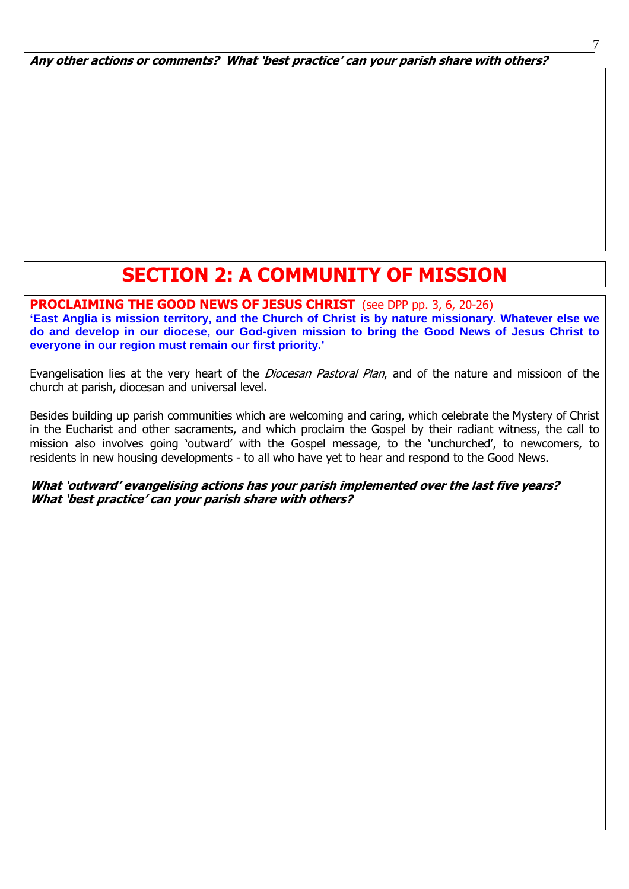Any other actions or comments? What 'best practice' can your parish share with others?

# SECTION 2: A COMMUNITY OF MISSION

#### PROCLAIMING THE GOOD NEWS OF JESUS CHRIST (see DPP pp. 3, 6, 20-26) **'East Anglia is mission territory, and the Church of Christ is by nature missionary. Whatever else we do and develop in our diocese, our God-given mission to bring the Good News of Jesus Christ to everyone in our region must remain our first priority.'**

ׇ֞֘

Evangelisation lies at the very heart of the *Diocesan Pastoral Plan*, and of the nature and missioon of the church at parish, diocesan and universal level.

Besides building up parish communities which are welcoming and caring, which celebrate the Mystery of Christ in the Eucharist and other sacraments, and which proclaim the Gospel by their radiant witness, the call to mission also involves going 'outward' with the Gospel message, to the 'unchurched', to newcomers, to residents in new housing developments - to all who have yet to hear and respond to the Good News.

### What 'outward' evangelising actions has your parish implemented over the last five years? What 'best practice' can your parish share with others?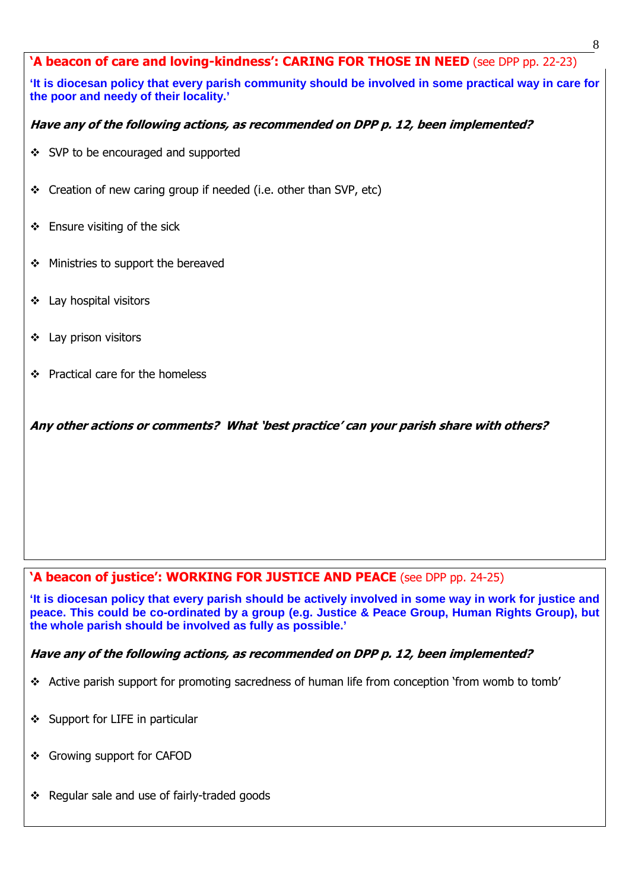# 'A beacon of care and loving-kindness': CARING FOR THOSE IN NEED (see DPP pp. 22-23)

**'It is diocesan policy that every parish community should be involved in some practical way in care for the poor and needy of their locality.'** 

# Have any of the following actions, as recommended on DPP p. 12, been implemented?

- ❖ SVP to be encouraged and supported
- Creation of new caring group if needed (i.e. other than SVP, etc)
- Ensure visiting of the sick
- ❖ Ministries to support the bereaved
- Lay hospital visitors
- ❖ Lay prison visitors

ׇ֞֘

Practical care for the homeless

Any other actions or comments? What 'best practice' can your parish share with others?

# 'A beacon of justice': WORKING FOR JUSTICE AND PEACE (see DPP pp. 24-25)

**'It is diocesan policy that every parish should be actively involved in some way in work for justice and peace. This could be co-ordinated by a group (e.g. Justice & Peace Group, Human Rights Group), but the whole parish should be involved as fully as possible.'** 

# Have any of the following actions, as recommended on DPP p. 12, been implemented?

- \* Active parish support for promoting sacredness of human life from conception 'from womb to tomb'
- Support for LIFE in particular
- Growing support for CAFOD
- Regular sale and use of fairly-traded goods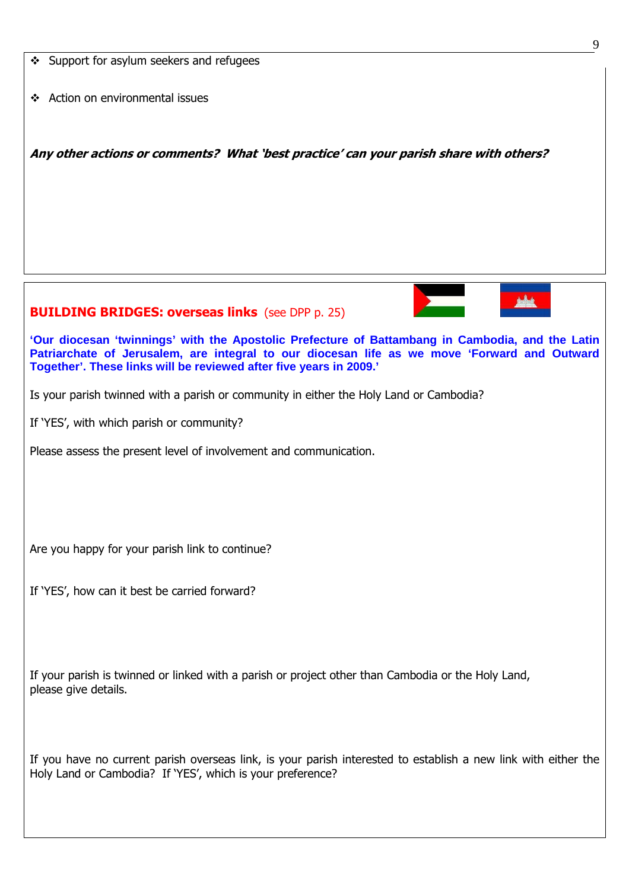| 9                                                                                                                                                                                                                                                                      |  |  |  |  |  |
|------------------------------------------------------------------------------------------------------------------------------------------------------------------------------------------------------------------------------------------------------------------------|--|--|--|--|--|
| ❖ Support for asylum seekers and refugees                                                                                                                                                                                                                              |  |  |  |  |  |
| ❖ Action on environmental issues                                                                                                                                                                                                                                       |  |  |  |  |  |
| Any other actions or comments? What 'best practice' can your parish share with others?                                                                                                                                                                                 |  |  |  |  |  |
|                                                                                                                                                                                                                                                                        |  |  |  |  |  |
|                                                                                                                                                                                                                                                                        |  |  |  |  |  |
|                                                                                                                                                                                                                                                                        |  |  |  |  |  |
| <b>BUILDING BRIDGES: overseas links</b> (see DPP p. 25)                                                                                                                                                                                                                |  |  |  |  |  |
| 'Our diocesan 'twinnings' with the Apostolic Prefecture of Battambang in Cambodia, and the Latin<br>Patriarchate of Jerusalem, are integral to our diocesan life as we move 'Forward and Outward<br>Together'. These links will be reviewed after five years in 2009.' |  |  |  |  |  |
| Is your parish twinned with a parish or community in either the Holy Land or Cambodia?                                                                                                                                                                                 |  |  |  |  |  |
| If 'YES', with which parish or community?                                                                                                                                                                                                                              |  |  |  |  |  |
| Please assess the present level of involvement and communication.                                                                                                                                                                                                      |  |  |  |  |  |
|                                                                                                                                                                                                                                                                        |  |  |  |  |  |
|                                                                                                                                                                                                                                                                        |  |  |  |  |  |
|                                                                                                                                                                                                                                                                        |  |  |  |  |  |
| Are you happy for your parish link to continue?                                                                                                                                                                                                                        |  |  |  |  |  |
| If 'YES', how can it best be carried forward?                                                                                                                                                                                                                          |  |  |  |  |  |
|                                                                                                                                                                                                                                                                        |  |  |  |  |  |
|                                                                                                                                                                                                                                                                        |  |  |  |  |  |
| If your parish is twinned or linked with a parish or project other than Cambodia or the Holy Land,                                                                                                                                                                     |  |  |  |  |  |
| please give details.                                                                                                                                                                                                                                                   |  |  |  |  |  |
|                                                                                                                                                                                                                                                                        |  |  |  |  |  |
| If you have no current parish overseas link, is your parish interested to establish a new link with either the<br>Holy Land or Cambodia? If 'YES', which is your preference?                                                                                           |  |  |  |  |  |
|                                                                                                                                                                                                                                                                        |  |  |  |  |  |
|                                                                                                                                                                                                                                                                        |  |  |  |  |  |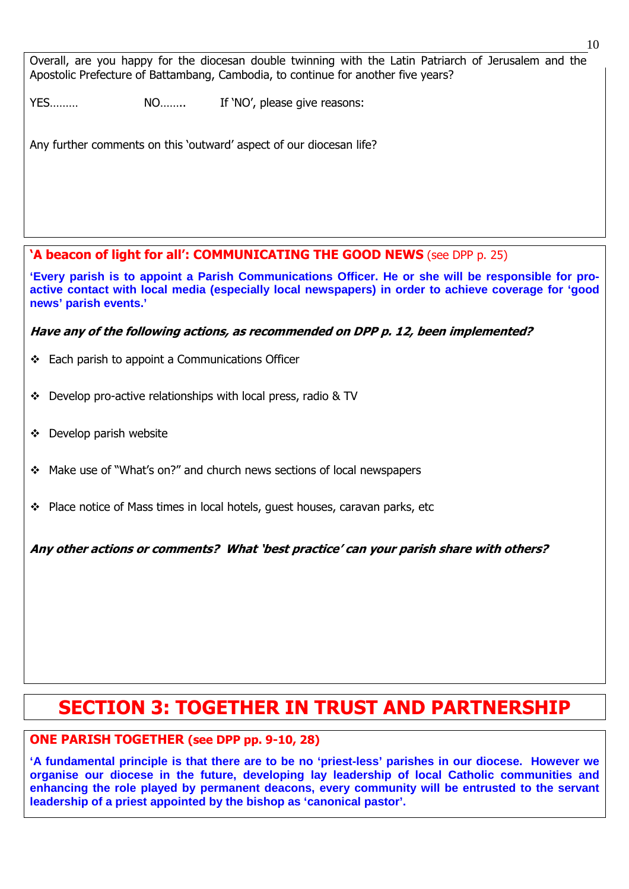Overall, are you happy for the diocesan double twinning with the Latin Patriarch of Jerusalem and the Apostolic Prefecture of Battambang, Cambodia, to continue for another five years?

YES……… NO…….. If 'NO', please give reasons:

Any further comments on this 'outward' aspect of our diocesan life?

'A beacon of light for all': COMMUNICATING THE GOOD NEWS (see DPP p. 25)

**'Every parish is to appoint a Parish Communications Officer. He or she will be responsible for proactive contact with local media (especially local newspapers) in order to achieve coverage for 'good news' parish events.'** 

Have any of the following actions, as recommended on DPP p. 12, been implemented?

- Each parish to appoint a Communications Officer
- Develop pro-active relationships with local press, radio & TV
- $\div$  Develop parish website

ׇ֞֘

- Make use of "What's on?" and church news sections of local newspapers
- \* Place notice of Mass times in local hotels, quest houses, caravan parks, etc

Any other actions or comments? What 'best practice' can your parish share with others?

# SECTION 3: TOGETHER IN TRUST AND PARTNERSHIP

# ONE PARISH TOGETHER (see DPP pp. 9-10, 28)

**'A fundamental principle is that there are to be no 'priest-less' parishes in our diocese. However we organise our diocese in the future, developing lay leadership of local Catholic communities and enhancing the role played by permanent deacons, every community will be entrusted to the servant leadership of a priest appointed by the bishop as 'canonical pastor'.**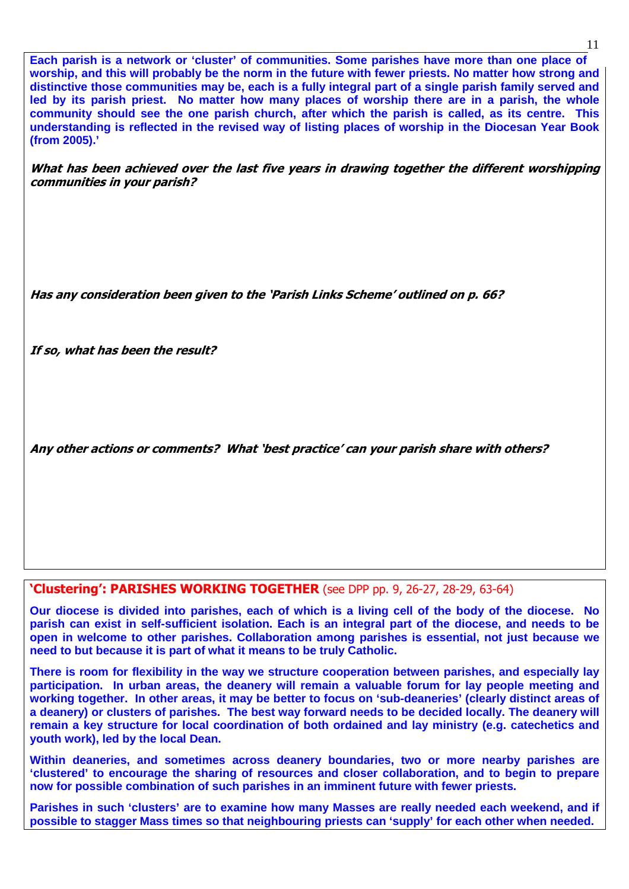**Each parish is a network or 'cluster' of communities. Some parishes have more than one place of worship, and this will probably be the norm in the future with fewer priests. No matter how strong and distinctive those communities may be, each is a fully integral part of a single parish family served and led by its parish priest. No matter how many places of worship there are in a parish, the whole community should see the one parish church, after which the parish is called, as its centre. This understanding is reflected in the revised way of listing places of worship in the Diocesan Year Book (from 2005).'** 

What has been achieved over the last five years in drawing together the different worshipping communities in your parish?

Has any consideration been given to the 'Parish Links Scheme' outlined on p. 66?

If so, what has been the result?

Any other actions or comments? What 'best practice' can your parish share with others?

# 'Clustering': PARISHES WORKING TOGETHER (see DPP pp. 9, 26-27, 28-29, 63-64)

**Our diocese is divided into parishes, each of which is a living cell of the body of the diocese. No parish can exist in self-sufficient isolation. Each is an integral part of the diocese, and needs to be open in welcome to other parishes. Collaboration among parishes is essential, not just because we need to but because it is part of what it means to be truly Catholic.** 

**There is room for flexibility in the way we structure cooperation between parishes, and especially lay participation. In urban areas, the deanery will remain a valuable forum for lay people meeting and working together. In other areas, it may be better to focus on 'sub-deaneries' (clearly distinct areas of a deanery) or clusters of parishes. The best way forward needs to be decided locally. The deanery will remain a key structure for local coordination of both ordained and lay ministry (e.g. catechetics and youth work), led by the local Dean.**  l

**Within deaneries, and sometimes across deanery boundaries, two or more nearby parishes are 'clustered' to encourage the sharing of resources and closer collaboration, and to begin to prepare now for possible combination of such parishes in an imminent future with fewer priests.** 

**Parishes in such 'clusters' are to examine how many Masses are really needed each weekend, and if possible to stagger Mass times so that neighbouring priests can 'supply' for each other when needed.**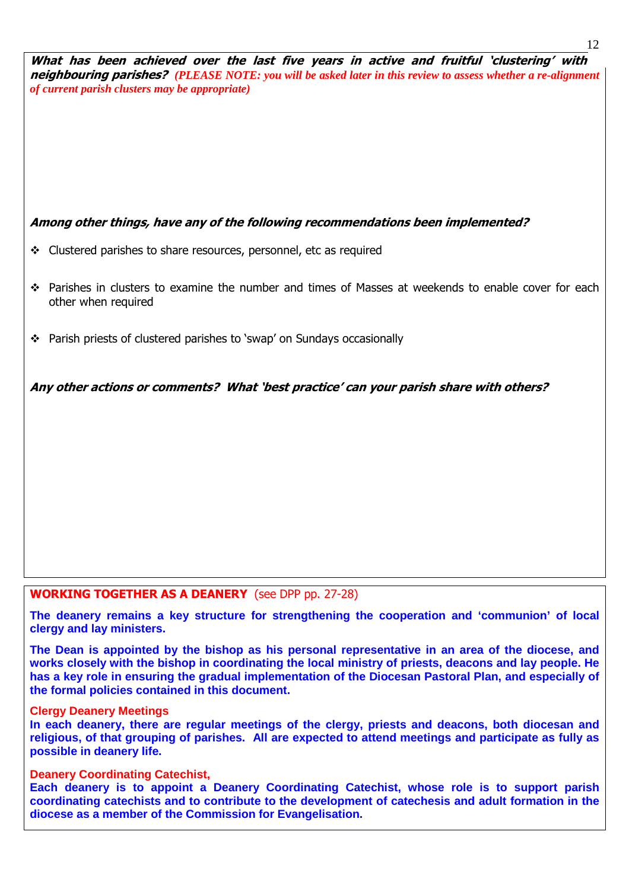What has been achieved over the last five years in active and fruitful 'clustering' with neighbouring parishes? *(PLEASE NOTE: you will be asked later in this review to assess whether a re-alignment of current parish clusters may be appropriate)*

# Among other things, have any of the following recommendations been implemented?

- Clustered parishes to share resources, personnel, etc as required
- Parishes in clusters to examine the number and times of Masses at weekends to enable cover for each other when required
- Parish priests of clustered parishes to 'swap' on Sundays occasionally

Any other actions or comments? What 'best practice' can your parish share with others?

#### WORKING TOGETHER AS A DEANERY (see DPP pp. 27-28)

**The deanery remains a key structure for strengthening the cooperation and 'communion' of local clergy and lay ministers.** 

**The Dean is appointed by the bishop as his personal representative in an area of the diocese, and works closely with the bishop in coordinating the local ministry of priests, deacons and lay people. He has a key role in ensuring the gradual implementation of the Diocesan Pastoral Plan, and especially of the formal policies contained in this document.** 

#### **Clergy Deanery Meetings**

֧֞֝֬֝֬֝֬֝֬֝֬֝֬

**In each deanery, there are regular meetings of the clergy, priests and deacons, both diocesan and religious, of that grouping of parishes. All are expected to attend meetings and participate as fully as possible in deanery life.** 

#### **Deanery Coordinating Catechist,**

**Each deanery is to appoint a Deanery Coordinating Catechist, whose role is to support parish coordinating catechists and to contribute to the development of catechesis and adult formation in the diocese as a member of the Commission for Evangelisation.**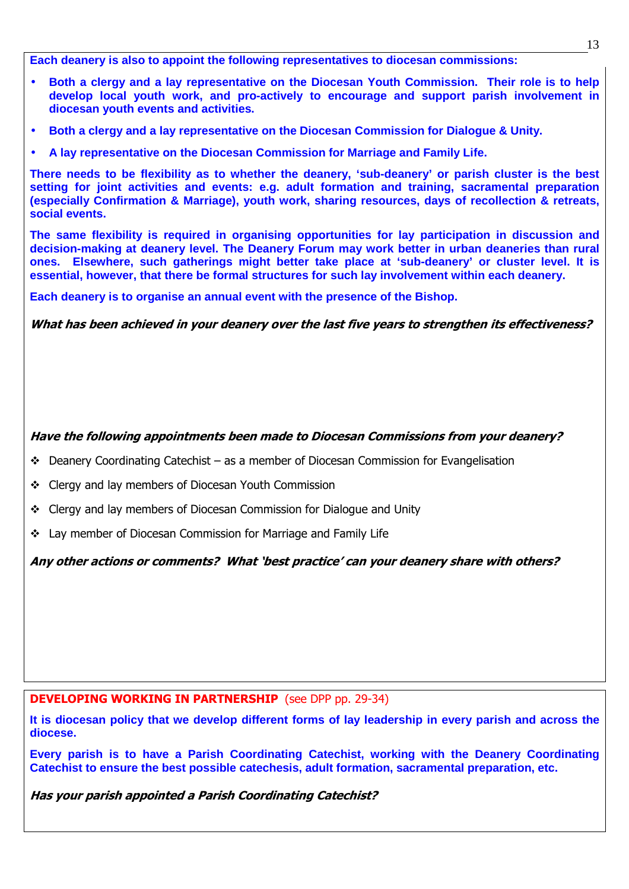**Each deanery is also to appoint the following representatives to diocesan commissions:** 

- **Both a clergy and a lay representative on the Diocesan Youth Commission. Their role is to help develop local youth work, and pro-actively to encourage and support parish involvement in diocesan youth events and activities.**
- **Both a clergy and a lay representative on the Diocesan Commission for Dialogue & Unity.**
- **A lay representative on the Diocesan Commission for Marriage and Family Life.**

**There needs to be flexibility as to whether the deanery, 'sub-deanery' or parish cluster is the best setting for joint activities and events: e.g. adult formation and training, sacramental preparation (especially Confirmation & Marriage), youth work, sharing resources, days of recollection & retreats, social events.** 

**The same flexibility is required in organising opportunities for lay participation in discussion and decision-making at deanery level. The Deanery Forum may work better in urban deaneries than rural ones. Elsewhere, such gatherings might better take place at 'sub-deanery' or cluster level. It is essential, however, that there be formal structures for such lay involvement within each deanery.** 

**Each deanery is to organise an annual event with the presence of the Bishop.**

What has been achieved in your deanery over the last five years to strengthen its effectiveness?

### Have the following appointments been made to Diocesan Commissions from your deanery?

- $\div$  Deanery Coordinating Catechist as a member of Diocesan Commission for Evangelisation
- ❖ Clergy and lay members of Diocesan Youth Commission
- Clergy and lay members of Diocesan Commission for Dialogue and Unity
- Lay member of Diocesan Commission for Marriage and Family Life

Any other actions or comments? What 'best practice' can your deanery share with others?

#### DEVELOPING WORKING IN PARTNERSHIP (see DPP pp. 29-34)

**It is diocesan policy that we develop different forms of lay leadership in every parish and across the diocese.** 

**Every parish is to have a Parish Coordinating Catechist, working with the Deanery Coordinating Catechist to ensure the best possible catechesis, adult formation, sacramental preparation, etc.** 

Has your parish appointed a Parish Coordinating Catechist?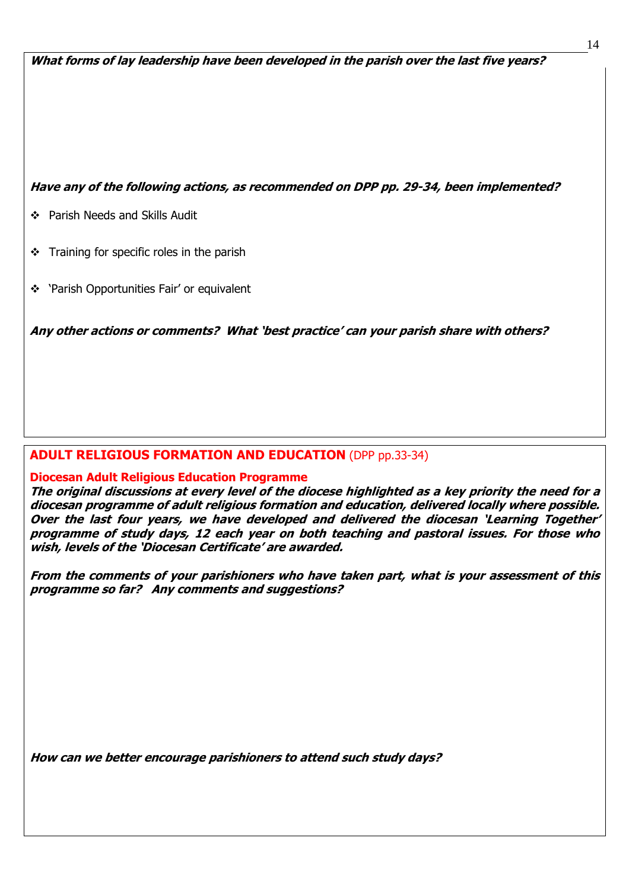What forms of lay leadership have been developed in the parish over the last five years?

### Have any of the following actions, as recommended on DPP pp. 29-34, been implemented?

Parish Needs and Skills Audit

ֺ֝

- $\div$  Training for specific roles in the parish
- \* 'Parish Opportunities Fair' or equivalent

Any other actions or comments? What 'best practice' can your parish share with others?

# ADULT RELIGIOUS FORMATION AND EDUCATION (DPP pp.33-34)

#### Diocesan Adult Religious Education Programme

The original discussions at every level of the diocese highlighted as a key priority the need for a diocesan programme of adult religious formation and education, delivered locally where possible. Over the last four years, we have developed and delivered the diocesan 'Learning Together' programme of study days, 12 each year on both teaching and pastoral issues. For those who wish, levels of the 'Diocesan Certificate' are awarded.

From the comments of your parishioners who have taken part, what is your assessment of this programme so far? Any comments and suggestions?

How can we better encourage parishioners to attend such study days?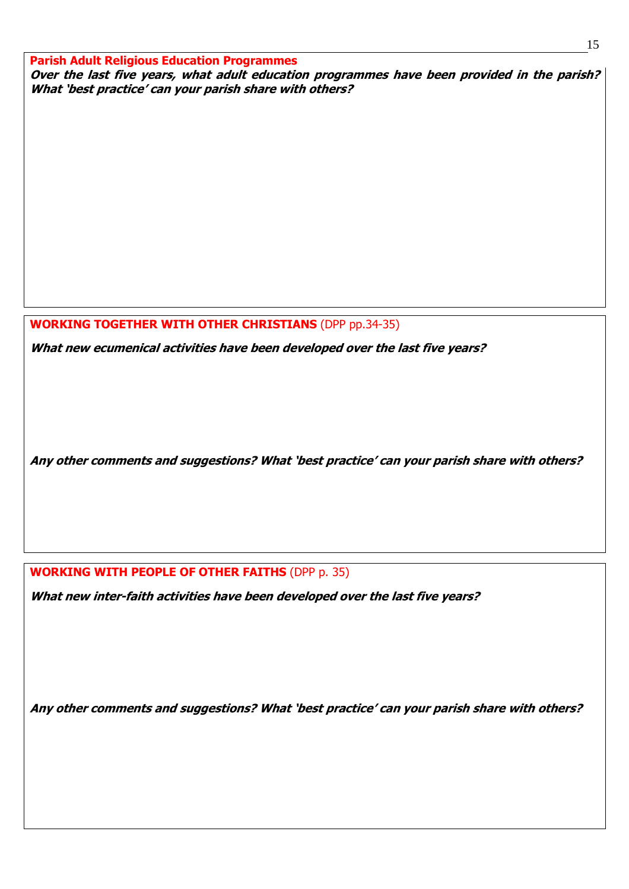Parish Adult Religious Education Programmes Over the last five years, what adult education programmes have been provided in the parish? What 'best practice' can your parish share with others?

WORKING TOGETHER WITH OTHER CHRISTIANS (DPP pp.34-35)

What new ecumenical activities have been developed over the last five years?

Any other comments and suggestions? What 'best practice' can your parish share with others?

# WORKING WITH PEOPLE OF OTHER FAITHS (DPP p. 35)

What new inter-faith activities have been developed over the last five years?

Any other comments and suggestions? What 'best practice' can your parish share with others?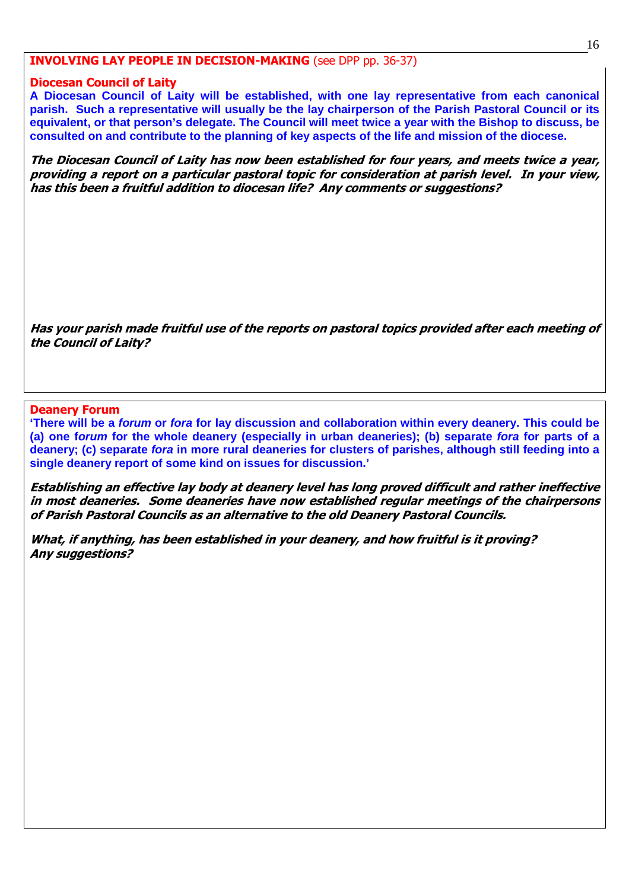### INVOLVING LAY PEOPLE IN DECISION-MAKING (see DPP pp. 36-37)

#### Diocesan Council of Laity

**A Diocesan Council of Laity will be established, with one lay representative from each canonical parish. Such a representative will usually be the lay chairperson of the Parish Pastoral Council or its equivalent, or that person's delegate. The Council will meet twice a year with the Bishop to discuss, be consulted on and contribute to the planning of key aspects of the life and mission of the diocese.** 

The Diocesan Council of Laity has now been established for four years, and meets twice a year, providing a report on a particular pastoral topic for consideration at parish level. In your view, has this been a fruitful addition to diocesan life? Any comments or suggestions?

Has your parish made fruitful use of the reports on pastoral topics provided after each meeting of the Council of Laity?

#### Deanery Forum

ׇ֞֘

ׇ֞֘

**'There will be a forum or fora for lay discussion and collaboration within every deanery. This could be (a) one forum for the whole deanery (especially in urban deaneries); (b) separate fora for parts of a deanery; (c) separate fora in more rural deaneries for clusters of parishes, although still feeding into a single deanery report of some kind on issues for discussion.'** 

Establishing an effective lay body at deanery level has long proved difficult and rather ineffective in most deaneries. Some deaneries have now established regular meetings of the chairpersons of Parish Pastoral Councils as an alternative to the old Deanery Pastoral Councils.

What, if anything, has been established in your deanery, and how fruitful is it proving? Any suggestions?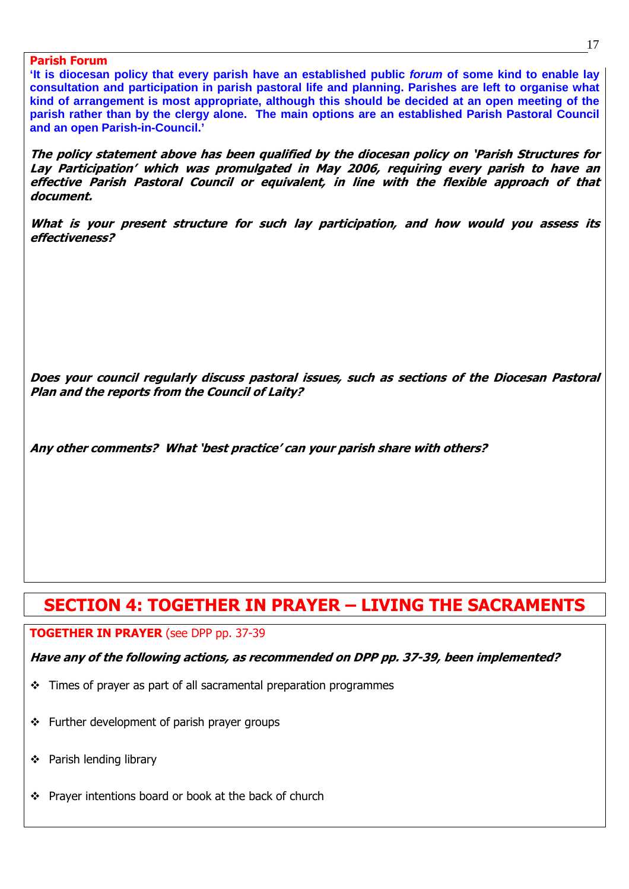**'It is diocesan policy that every parish have an established public forum of some kind to enable lay consultation and participation in parish pastoral life and planning. Parishes are left to organise what kind of arrangement is most appropriate, although this should be decided at an open meeting of the parish rather than by the clergy alone. The main options are an established Parish Pastoral Council and an open Parish-in-Council.'** 

The policy statement above has been qualified by the diocesan policy on 'Parish Structures for Lay Participation' which was promulgated in May 2006, requiring every parish to have an effective Parish Pastoral Council or equivalent, in line with the flexible approach of that document.

What is your present structure for such lay participation, and how would you assess its effectiveness?

Does your council regularly discuss pastoral issues, such as sections of the Diocesan Pastoral Plan and the reports from the Council of Laity?

Any other comments? What 'best practice' can your parish share with others?

# SECTION 4: TOGETHER IN PRAYER – LIVING THE SACRAMENTS

#### TOGETHER IN PRAYER (see DPP pp. 37-39

Have any of the following actions, as recommended on DPP pp. 37-39, been implemented?

- $\div$  Times of prayer as part of all sacramental preparation programmes
- $\div$  Further development of parish prayer groups
- Parish lending library

ׇ֞֘

❖ Prayer intentions board or book at the back of church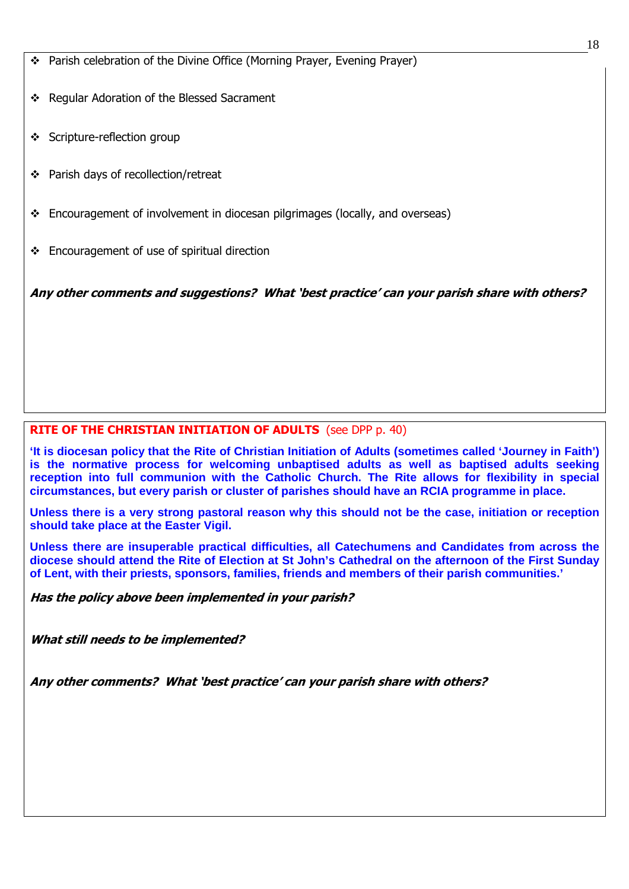- Parish celebration of the Divine Office (Morning Prayer, Evening Prayer)
- Regular Adoration of the Blessed Sacrament
- Scripture-reflection group

ֺ֝

- ❖ Parish days of recollection/retreat
- Encouragement of involvement in diocesan pilgrimages (locally, and overseas)
- $\div$  Encouragement of use of spiritual direction

Any other comments and suggestions? What 'best practice' can your parish share with others?

# RITE OF THE CHRISTIAN INITIATION OF ADULTS (see DPP p. 40)

**'It is diocesan policy that the Rite of Christian Initiation of Adults (sometimes called 'Journey in Faith') is the normative process for welcoming unbaptised adults as well as baptised adults seeking reception into full communion with the Catholic Church. The Rite allows for flexibility in special circumstances, but every parish or cluster of parishes should have an RCIA programme in place.** 

**Unless there is a very strong pastoral reason why this should not be the case, initiation or reception should take place at the Easter Vigil.** 

**Unless there are insuperable practical difficulties, all Catechumens and Candidates from across the diocese should attend the Rite of Election at St John's Cathedral on the afternoon of the First Sunday of Lent, with their priests, sponsors, families, friends and members of their parish communities.'** 

Has the policy above been implemented in your parish?

What still needs to be implemented?

Any other comments? What 'best practice' can your parish share with others?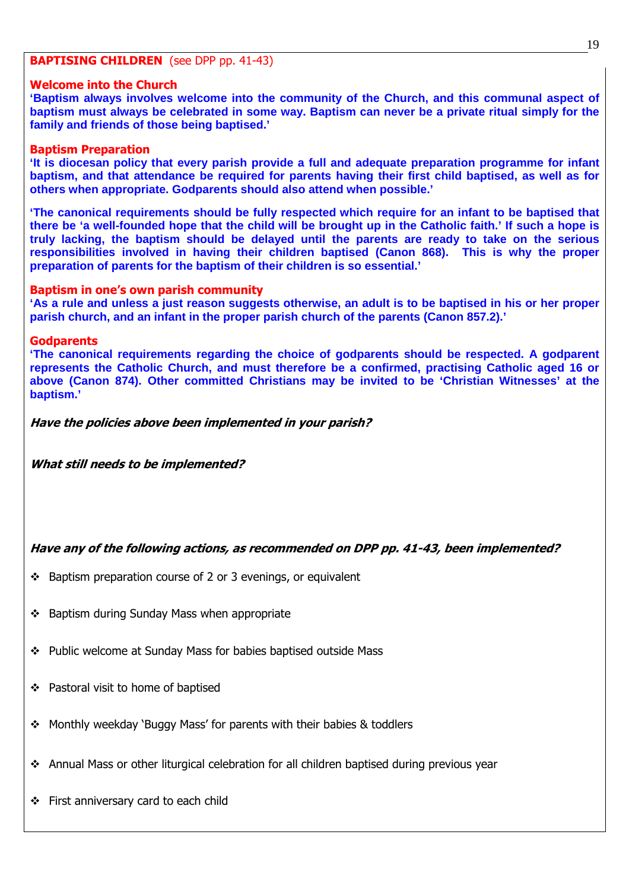#### BAPTISING CHILDREN (see DPP pp. 41-43)

#### Welcome into the Church

**'Baptism always involves welcome into the community of the Church, and this communal aspect of baptism must always be celebrated in some way. Baptism can never be a private ritual simply for the family and friends of those being baptised.'** 

#### Baptism Preparation

**'It is diocesan policy that every parish provide a full and adequate preparation programme for infant baptism, and that attendance be required for parents having their first child baptised, as well as for others when appropriate. Godparents should also attend when possible.'** 

**'The canonical requirements should be fully respected which require for an infant to be baptised that there be 'a well-founded hope that the child will be brought up in the Catholic faith.' If such a hope is truly lacking, the baptism should be delayed until the parents are ready to take on the serious responsibilities involved in having their children baptised (Canon 868). This is why the proper preparation of parents for the baptism of their children is so essential.'** 

#### Baptism in one's own parish community

**'As a rule and unless a just reason suggests otherwise, an adult is to be baptised in his or her proper parish church, and an infant in the proper parish church of the parents (Canon 857.2).'** 

#### **Godparents**

**'The canonical requirements regarding the choice of godparents should be respected. A godparent represents the Catholic Church, and must therefore be a confirmed, practising Catholic aged 16 or above (Canon 874). Other committed Christians may be invited to be 'Christian Witnesses' at the baptism.'** 

#### Have the policies above been implemented in your parish?

What still needs to be implemented?

# Have any of the following actions, as recommended on DPP pp. 41-43, been implemented?

- $\cdot$  Baptism preparation course of 2 or 3 evenings, or equivalent
- ❖ Baptism during Sunday Mass when appropriate
- Public welcome at Sunday Mass for babies baptised outside Mass
- ❖ Pastoral visit to home of baptised
- Monthly weekday 'Buggy Mass' for parents with their babies & toddlers
- Annual Mass or other liturgical celebration for all children baptised during previous year
- First anniversary card to each child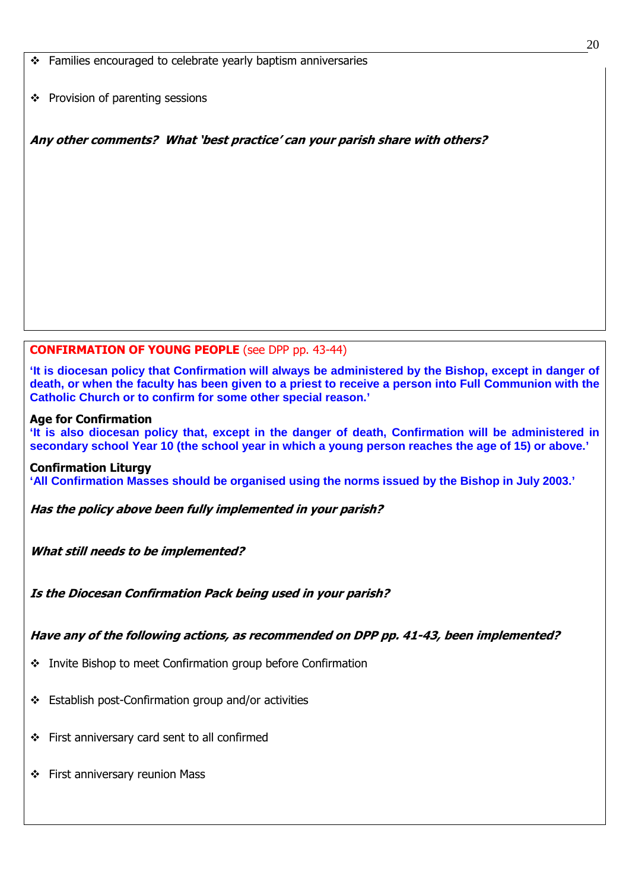Families encouraged to celebrate yearly baptism anniversaries

 $\div$  Provision of parenting sessions

Any other comments? What 'best practice' can your parish share with others?

# CONFIRMATION OF YOUNG PEOPLE (see DPP pp. 43-44)

**'It is diocesan policy that Confirmation will always be administered by the Bishop, except in danger of death, or when the faculty has been given to a priest to receive a person into Full Communion with the Catholic Church or to confirm for some other special reason.'** 

#### Age for Confirmation

**'It is also diocesan policy that, except in the danger of death, Confirmation will be administered in secondary school Year 10 (the school year in which a young person reaches the age of 15) or above.'**

#### Confirmation Liturgy

**'All Confirmation Masses should be organised using the norms issued by the Bishop in July 2003.'** 

Has the policy above been fully implemented in your parish?

What still needs to be implemented?

Is the Diocesan Confirmation Pack being used in your parish?

# Have any of the following actions, as recommended on DPP pp. 41-43, been implemented?

- ❖ Invite Bishop to meet Confirmation group before Confirmation
- Establish post-Confirmation group and/or activities
- First anniversary card sent to all confirmed
- First anniversary reunion Mass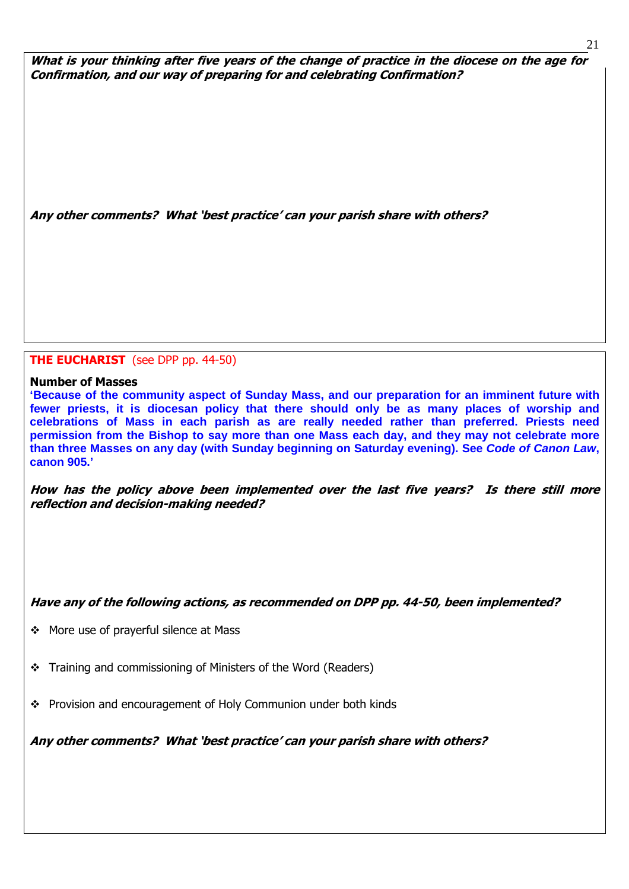What is your thinking after five years of the change of practice in the diocese on the age for Confirmation, and our way of preparing for and celebrating Confirmation?

Any other comments? What 'best practice' can your parish share with others?

### **THE EUCHARIST** (see DPP pp. 44-50)

#### Number of Masses

ׇ֞֘

**'Because of the community aspect of Sunday Mass, and our preparation for an imminent future with fewer priests, it is diocesan policy that there should only be as many places of worship and celebrations of Mass in each parish as are really needed rather than preferred. Priests need permission from the Bishop to say more than one Mass each day, and they may not celebrate more than three Masses on any day (with Sunday beginning on Saturday evening). See Code of Canon Law, canon 905.'** 

How has the policy above been implemented over the last five years? Is there still more reflection and decision-making needed?

# Have any of the following actions, as recommended on DPP pp. 44-50, been implemented?

- More use of prayerful silence at Mass
- Training and commissioning of Ministers of the Word (Readers)
- \* Provision and encouragement of Holy Communion under both kinds

Any other comments? What 'best practice' can your parish share with others?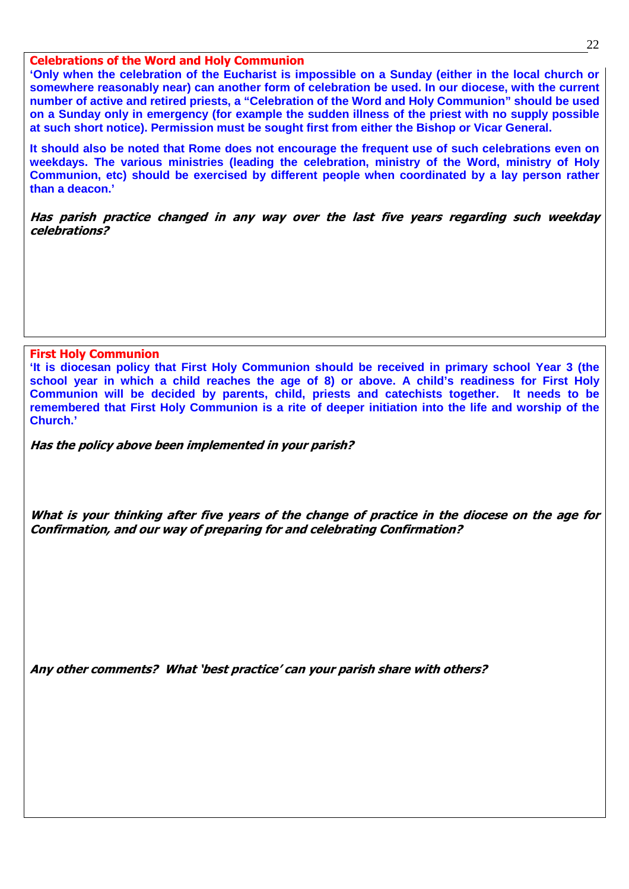#### Celebrations of the Word and Holy Communion

**'Only when the celebration of the Eucharist is impossible on a Sunday (either in the local church or somewhere reasonably near) can another form of celebration be used. In our diocese, with the current number of active and retired priests, a "Celebration of the Word and Holy Communion" should be used on a Sunday only in emergency (for example the sudden illness of the priest with no supply possible at such short notice). Permission must be sought first from either the Bishop or Vicar General.** 

**It should also be noted that Rome does not encourage the frequent use of such celebrations even on weekdays. The various ministries (leading the celebration, ministry of the Word, ministry of Holy Communion, etc) should be exercised by different people when coordinated by a lay person rather than a deacon.'** 

Has parish practice changed in any way over the last five years regarding such weekday celebrations?

First Holy Communion

ֺ֝

**'It is diocesan policy that First Holy Communion should be received in primary school Year 3 (the school year in which a child reaches the age of 8) or above. A child's readiness for First Holy Communion will be decided by parents, child, priests and catechists together. It needs to be remembered that First Holy Communion is a rite of deeper initiation into the life and worship of the Church.'** 

Has the policy above been implemented in your parish?

What is your thinking after five years of the change of practice in the diocese on the age for Confirmation, and our way of preparing for and celebrating Confirmation?

Any other comments? What 'best practice' can your parish share with others?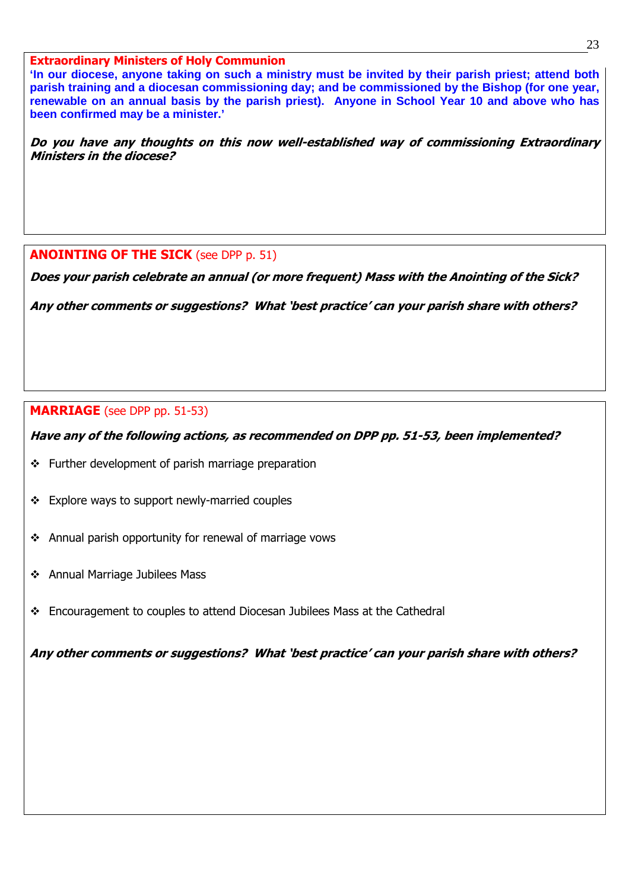#### Extraordinary Ministers of Holy Communion

**'In our diocese, anyone taking on such a ministry must be invited by their parish priest; attend both parish training and a diocesan commissioning day; and be commissioned by the Bishop (for one year, renewable on an annual basis by the parish priest). Anyone in School Year 10 and above who has been confirmed may be a minister.'** 

Do you have any thoughts on this now well-established way of commissioning Extraordinary Ministers in the diocese?

# **ANOINTING OF THE SICK (see DPP p. 51)**

Does your parish celebrate an annual (or more frequent) Mass with the Anointing of the Sick?

Any other comments or suggestions? What 'best practice' can your parish share with others?

# MARRIAGE (see DPP pp. 51-53)

Have any of the following actions, as recommended on DPP pp. 51-53, been implemented?

- $\div$  Further development of parish marriage preparation
- Explore ways to support newly-married couples
- Annual parish opportunity for renewal of marriage vows
- Annual Marriage Jubilees Mass

ׇ֞֘

Encouragement to couples to attend Diocesan Jubilees Mass at the Cathedral

Any other comments or suggestions? What 'best practice' can your parish share with others?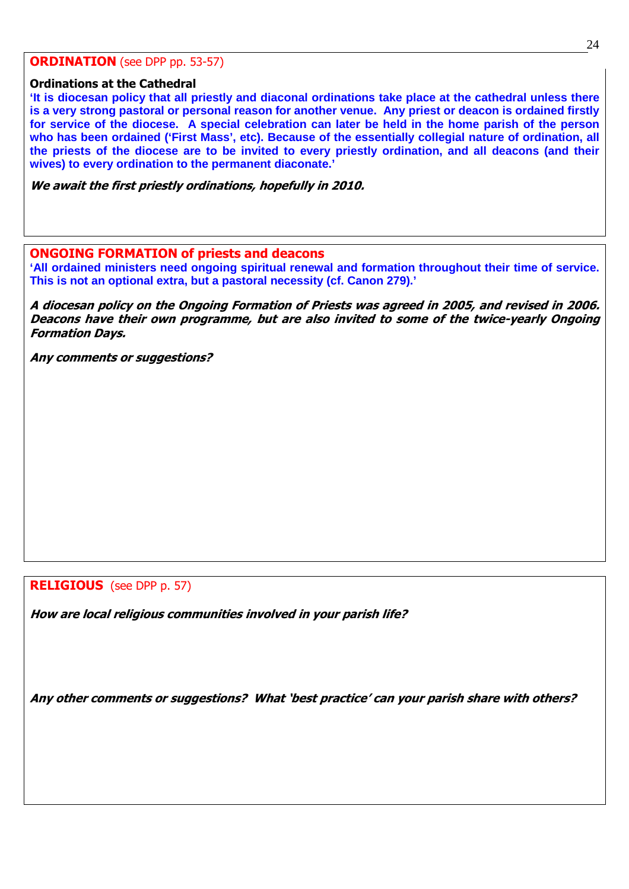#### **ORDINATION** (see DPP pp. 53-57)

#### Ordinations at the Cathedral

֧֞֝֬֝֬֝֬֝֬֝֬֝֬

**'It is diocesan policy that all priestly and diaconal ordinations take place at the cathedral unless there is a very strong pastoral or personal reason for another venue. Any priest or deacon is ordained firstly for service of the diocese. A special celebration can later be held in the home parish of the person who has been ordained ('First Mass', etc). Because of the essentially collegial nature of ordination, all the priests of the diocese are to be invited to every priestly ordination, and all deacons (and their wives) to every ordination to the permanent diaconate.'** 

We await the first priestly ordinations, hopefully in 2010.

#### ONGOING FORMATION of priests and deacons

**'All ordained ministers need ongoing spiritual renewal and formation throughout their time of service. This is not an optional extra, but a pastoral necessity (cf. Canon 279).'** 

A diocesan policy on the Ongoing Formation of Priests was agreed in 2005, and revised in 2006. Deacons have their own programme, but are also invited to some of the twice-yearly Ongoing Formation Days.

Any comments or suggestions?

RELIGIOUS (see DPP p. 57)

How are local religious communities involved in your parish life?

Any other comments or suggestions? What 'best practice' can your parish share with others?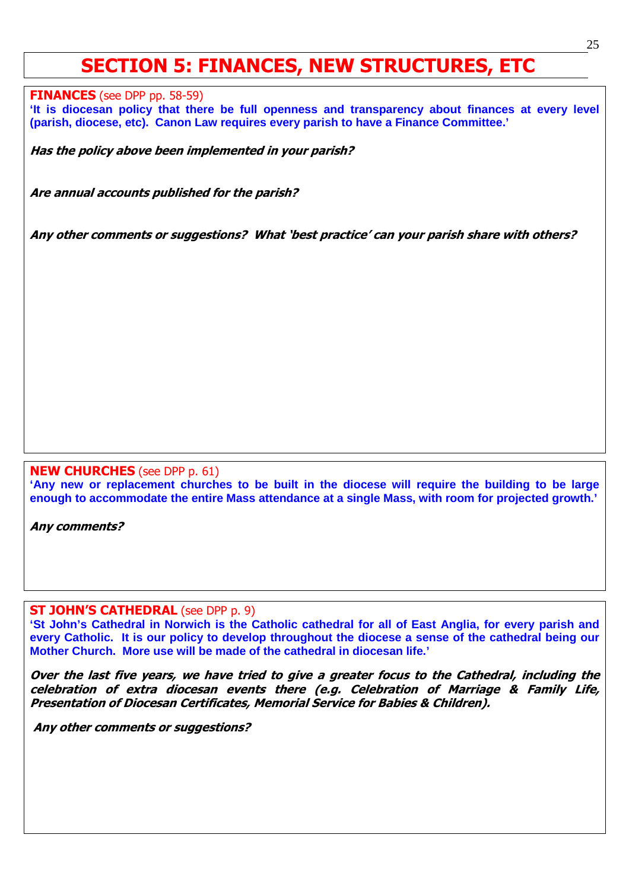# SECTION 5: FINANCES, NEW STRUCTURES, ETC

**FINANCES** (see DPP pp. 58-59)

ֺ֝

**'It is diocesan policy that there be full openness and transparency about finances at every level (parish, diocese, etc). Canon Law requires every parish to have a Finance Committee.'** 

Has the policy above been implemented in your parish?

Are annual accounts published for the parish?

Any other comments or suggestions? What 'best practice' can your parish share with others?

#### NEW CHURCHES (see DPP p. 61)

**'Any new or replacement churches to be built in the diocese will require the building to be large enough to accommodate the entire Mass attendance at a single Mass, with room for projected growth.'** 

Any comments?

ׇ֞֘

#### **ST JOHN'S CATHEDRAL** (see DPP p. 9)

**'St John's Cathedral in Norwich is the Catholic cathedral for all of East Anglia, for every parish and every Catholic. It is our policy to develop throughout the diocese a sense of the cathedral being our Mother Church. More use will be made of the cathedral in diocesan life.'** 

Over the last five years, we have tried to give a greater focus to the Cathedral, including the celebration of extra diocesan events there (e.g. Celebration of Marriage & Family Life, Presentation of Diocesan Certificates, Memorial Service for Babies & Children).

Any other comments or suggestions?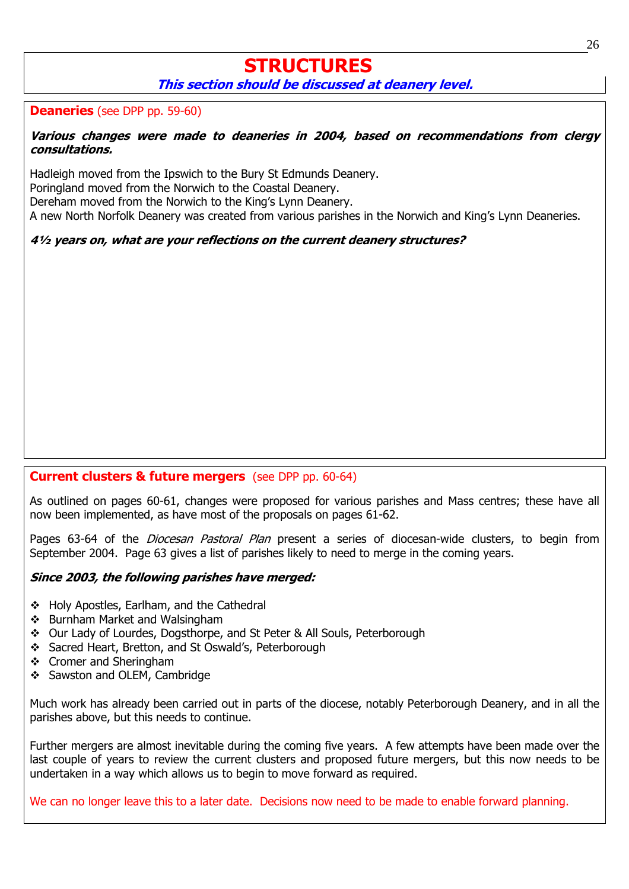# **STRUCTURES** This section should be discussed at deanery level.

# Deaneries (see DPP pp. 59-60)

#### Various changes were made to deaneries in 2004, based on recommendations from clergy consultations.

Hadleigh moved from the Ipswich to the Bury St Edmunds Deanery. Poringland moved from the Norwich to the Coastal Deanery. Dereham moved from the Norwich to the King's Lynn Deanery. A new North Norfolk Deanery was created from various parishes in the Norwich and King's Lynn Deaneries.

4½ years on, what are your reflections on the current deanery structures?

# **Current clusters & future mergers** (see DPP pp. 60-64)

As outlined on pages 60-61, changes were proposed for various parishes and Mass centres; these have all now been implemented, as have most of the proposals on pages 61-62.

Pages 63-64 of the *Diocesan Pastoral Plan* present a series of diocesan-wide clusters, to begin from September 2004. Page 63 gives a list of parishes likely to need to merge in the coming years.

# Since 2003, the following parishes have merged:

- ❖ Holy Apostles, Earlham, and the Cathedral
- ❖ Burnham Market and Walsingham
- Our Lady of Lourdes, Dogsthorpe, and St Peter & All Souls, Peterborough
- Sacred Heart, Bretton, and St Oswald's, Peterborough
- ❖ Cromer and Sheringham
- Sawston and OLEM, Cambridge

Much work has already been carried out in parts of the diocese, notably Peterborough Deanery, and in all the parishes above, but this needs to continue.

Further mergers are almost inevitable during the coming five years. A few attempts have been made over the last couple of years to review the current clusters and proposed future mergers, but this now needs to be undertaken in a way which allows us to begin to move forward as required.

We can no longer leave this to a later date. Decisions now need to be made to enable forward planning.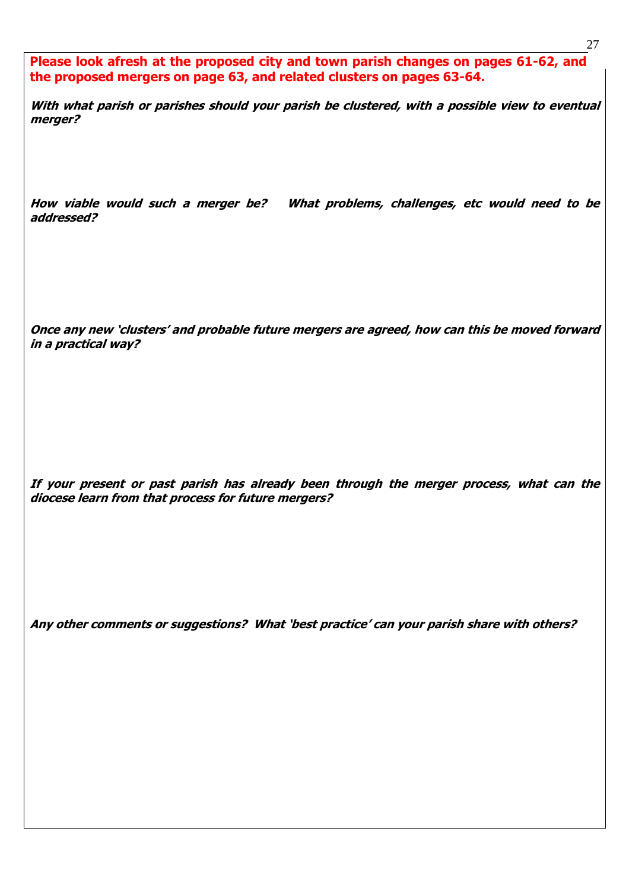Please look afresh at the proposed city and town parish changes on pages 61-62, and the proposed mergers on page 63, and related clusters on pages 63-64.

With what parish or parishes should your parish be clustered, with a possible view to eventual merger?

How viable would such a merger be? What problems, challenges, etc would need to be addressed?

Once any new 'clusters' and probable future mergers are agreed, how can this be moved forward in a practical way?

If your present or past parish has already been through the merger process, what can the diocese learn from that process for future mergers?

Any other comments or suggestions? What 'best practice' can your parish share with others?